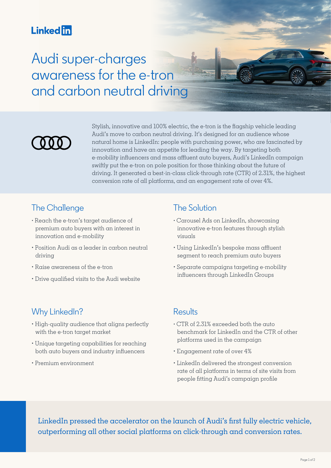# **Linked in**

Audi super-charges awareness for the e-tron and carbon neutral driving



Stylish, innovative and 100% electric, the e-tron is the flagship vehicle leading Audi's move to carbon neutral driving. It's designed for an audience whose natural home is LinkedIn: people with purchasing power, who are fascinated by innovation and have an appetite for leading the way. By targeting both e-mobility influencers and mass affluent auto buyers, Audi's LinkedIn campaign swiftly put the e-tron on pole position for those thinking about the future of driving. It generated  $\alpha$  best-in-class click-through rate (CTR) of 2.31%, the highest conversion rate of all platforms, and an engagement rate of over 4%.

### The Challenge

- Reach the e-tron's target audience of premium auto buyers with an interest in innovation and e-mobility
- Position Audi as a leader in carbon neutral driving
- Raise awareness of the e-tron
- Drive qualified visits to the Audi website

## The Solution

- Carousel Ads on LinkedIn, showcasing innovative e-tron features through stylish visuals
- Using LinkedIn's bespoke mass affluent segment to reach premium auto buyers
- Separate campaigns targeting e-mobility influencers through LinkedIn Groups

#### Why LinkedIn?

- High-quality audience that aligns perfectly with the e-tron target market
- Unique targeting capabilities for reaching both auto buyers and industry influencers
- Premium environment

#### **Results**

- CTR of 2.31% exceeded both the auto benchmark for LinkedIn and the CTR of other platforms used in the campaign
- Engagement rate of over 4%
- LinkedIn delivered the strongest conversion rate of all platforms in terms of site visits from people fitting Audi's campaign profile

LinkedIn pressed the accelerator on the launch of Audi's first fully electric vehicle, outperforming all other social platforms on click-through and conversion rates.